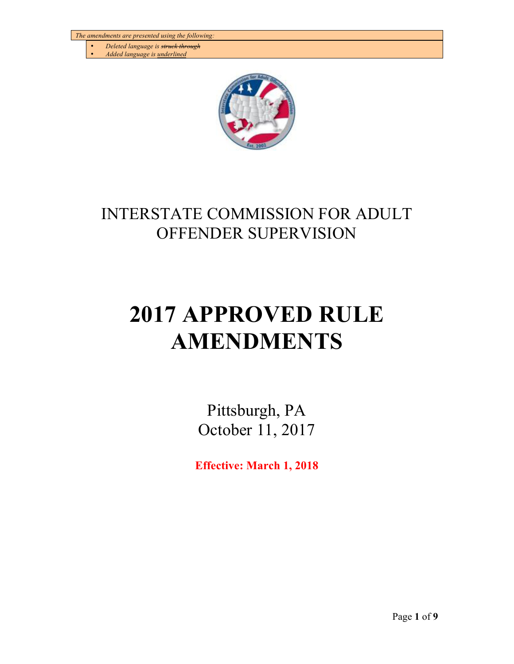- *Deleted language is struck through*
- *Added language is underlined*



## INTERSTATE COMMISSION FOR ADULT OFFENDER SUPERVISION

# **2017 APPROVED RULE AMENDMENTS**

Pittsburgh, PA October 11, 2017

**Effective: March 1, 2018**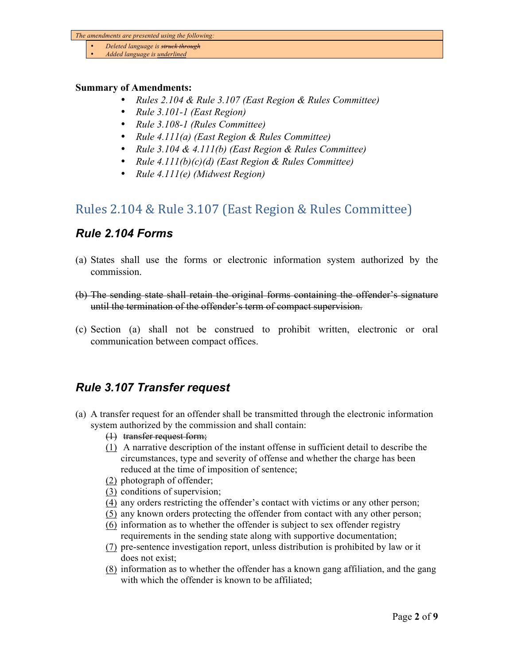- *Deleted language is struck through*
- *Added language is underlined*

#### **Summary of Amendments:**

- *Rules 2.104 & Rule 3.107 (East Region & Rules Committee)*
- *Rule 3.101-1 (East Region)*
- *Rule 3.108-1 (Rules Committee)*
- *Rule 4.111(a) (East Region & Rules Committee)*
- *Rule 3.104 & 4.111(b) (East Region & Rules Committee)*
- *Rule 4.111(b)(c)(d) (East Region & Rules Committee)*
- *Rule 4.111(e) (Midwest Region)*

## Rules 2.104 & Rule 3.107 (East Region & Rules Committee)

## *Rule 2.104 Forms*

- (a) States shall use the forms or electronic information system authorized by the commission.
- (b) The sending state shall retain the original forms containing the offender's signature until the termination of the offender's term of compact supervision.
- (c) Section (a) shall not be construed to prohibit written, electronic or oral communication between compact offices.

## *Rule 3.107 Transfer request*

- (a) A transfer request for an offender shall be transmitted through the electronic information system authorized by the commission and shall contain:
	- (1) transfer request form;
	- (1) A narrative description of the instant offense in sufficient detail to describe the circumstances, type and severity of offense and whether the charge has been reduced at the time of imposition of sentence;
	- (2) photograph of offender;
	- (3) conditions of supervision;
	- (4) any orders restricting the offender's contact with victims or any other person;
	- (5) any known orders protecting the offender from contact with any other person;
	- (6) information as to whether the offender is subject to sex offender registry requirements in the sending state along with supportive documentation;
	- (7) pre-sentence investigation report, unless distribution is prohibited by law or it does not exist;
	- (8) information as to whether the offender has a known gang affiliation, and the gang with which the offender is known to be affiliated;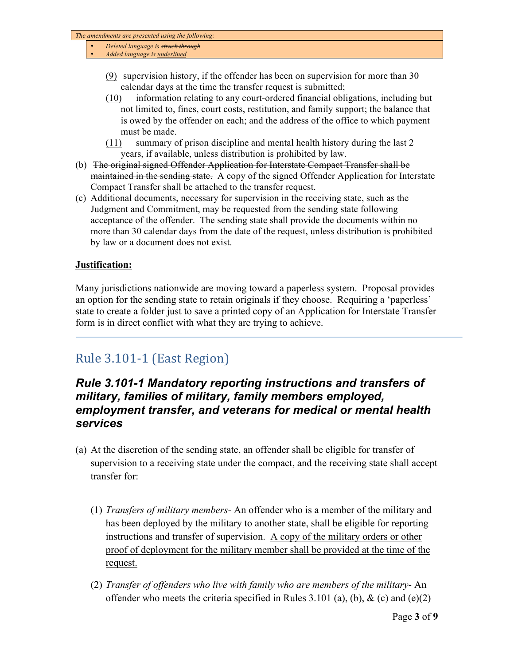- *Deleted language is struck through*
- *Added language is underlined*
	- (9) supervision history, if the offender has been on supervision for more than 30 calendar days at the time the transfer request is submitted;
	- (10) information relating to any court-ordered financial obligations, including but not limited to, fines, court costs, restitution, and family support; the balance that is owed by the offender on each; and the address of the office to which payment must be made.
	- (11) summary of prison discipline and mental health history during the last 2 years, if available, unless distribution is prohibited by law.
- (b) The original signed Offender Application for Interstate Compact Transfer shall be maintained in the sending state. A copy of the signed Offender Application for Interstate Compact Transfer shall be attached to the transfer request.
- (c) Additional documents, necessary for supervision in the receiving state, such as the Judgment and Commitment, may be requested from the sending state following acceptance of the offender. The sending state shall provide the documents within no more than 30 calendar days from the date of the request, unless distribution is prohibited by law or a document does not exist.

#### **Justification:**

Many jurisdictions nationwide are moving toward a paperless system. Proposal provides an option for the sending state to retain originals if they choose. Requiring a 'paperless' state to create a folder just to save a printed copy of an Application for Interstate Transfer form is in direct conflict with what they are trying to achieve.

## Rule 3.101-1 (East Region)

## *Rule 3.101-1 Mandatory reporting instructions and transfers of military, families of military, family members employed, employment transfer, and veterans for medical or mental health services*

- (a) At the discretion of the sending state, an offender shall be eligible for transfer of supervision to a receiving state under the compact, and the receiving state shall accept transfer for:
	- (1) *Transfers of military members-* An offender who is a member of the military and has been deployed by the military to another state, shall be eligible for reporting instructions and transfer of supervision. A copy of the military orders or other proof of deployment for the military member shall be provided at the time of the request.
	- (2) *Transfer of offenders who live with family who are members of the military* An offender who meets the criteria specified in Rules 3.101 (a), (b),  $\&$  (c) and (e)(2)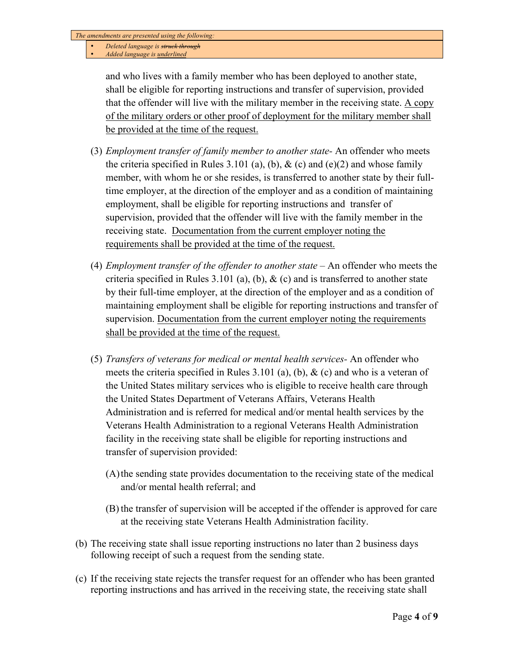- *Deleted language is struck through*
- *Added language is underlined*

and who lives with a family member who has been deployed to another state, shall be eligible for reporting instructions and transfer of supervision, provided that the offender will live with the military member in the receiving state. A copy of the military orders or other proof of deployment for the military member shall be provided at the time of the request.

- (3) *Employment transfer of family member to another state-* An offender who meets the criteria specified in Rules 3.101 (a), (b),  $\&$  (c) and (e)(2) and whose family member, with whom he or she resides, is transferred to another state by their fulltime employer, at the direction of the employer and as a condition of maintaining employment, shall be eligible for reporting instructions and transfer of supervision, provided that the offender will live with the family member in the receiving state. Documentation from the current employer noting the requirements shall be provided at the time of the request.
- (4) *Employment transfer of the offender to another state* An offender who meets the criteria specified in Rules 3.101 (a), (b),  $\&$  (c) and is transferred to another state by their full-time employer, at the direction of the employer and as a condition of maintaining employment shall be eligible for reporting instructions and transfer of supervision. Documentation from the current employer noting the requirements shall be provided at the time of the request.
- (5) *Transfers of veterans for medical or mental health services-* An offender who meets the criteria specified in Rules 3.101 (a), (b),  $\&$  (c) and who is a veteran of the United States military services who is eligible to receive health care through the United States Department of Veterans Affairs, Veterans Health Administration and is referred for medical and/or mental health services by the Veterans Health Administration to a regional Veterans Health Administration facility in the receiving state shall be eligible for reporting instructions and transfer of supervision provided:
	- (A)the sending state provides documentation to the receiving state of the medical and/or mental health referral; and
	- (B) the transfer of supervision will be accepted if the offender is approved for care at the receiving state Veterans Health Administration facility.
- (b) The receiving state shall issue reporting instructions no later than 2 business days following receipt of such a request from the sending state.
- (c) If the receiving state rejects the transfer request for an offender who has been granted reporting instructions and has arrived in the receiving state, the receiving state shall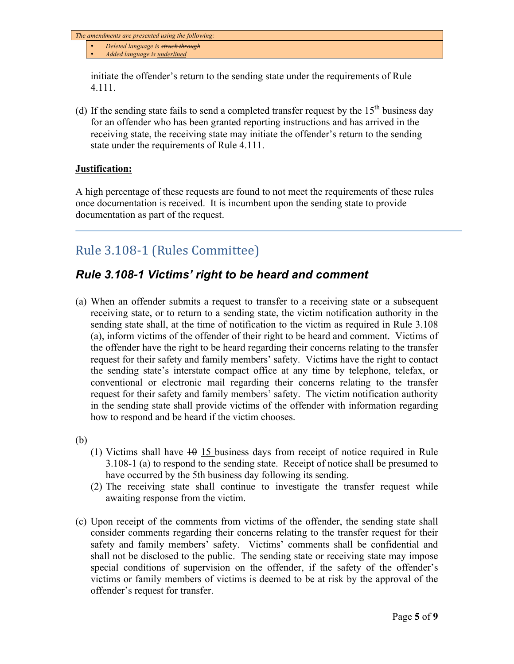- *Deleted language is struck through*
- *Added language is underlined*

initiate the offender's return to the sending state under the requirements of Rule 4.111.

(d) If the sending state fails to send a completed transfer request by the  $15<sup>th</sup>$  business day for an offender who has been granted reporting instructions and has arrived in the receiving state, the receiving state may initiate the offender's return to the sending state under the requirements of Rule 4.111.

#### **Justification:**

A high percentage of these requests are found to not meet the requirements of these rules once documentation is received. It is incumbent upon the sending state to provide documentation as part of the request.

## Rule 3.108-1 (Rules Committee)

## *Rule 3.108-1 Victims' right to be heard and comment*

(a) When an offender submits a request to transfer to a receiving state or a subsequent receiving state, or to return to a sending state, the victim notification authority in the sending state shall, at the time of notification to the victim as required in Rule 3.108 (a), inform victims of the offender of their right to be heard and comment. Victims of the offender have the right to be heard regarding their concerns relating to the transfer request for their safety and family members' safety. Victims have the right to contact the sending state's interstate compact office at any time by telephone, telefax, or conventional or electronic mail regarding their concerns relating to the transfer request for their safety and family members' safety. The victim notification authority in the sending state shall provide victims of the offender with information regarding how to respond and be heard if the victim chooses.

(b)

- (1) Victims shall have  $10 \text{ 15}$  business days from receipt of notice required in Rule 3.108-1 (a) to respond to the sending state. Receipt of notice shall be presumed to have occurred by the 5th business day following its sending.
- (2) The receiving state shall continue to investigate the transfer request while awaiting response from the victim.
- (c) Upon receipt of the comments from victims of the offender, the sending state shall consider comments regarding their concerns relating to the transfer request for their safety and family members' safety. Victims' comments shall be confidential and shall not be disclosed to the public. The sending state or receiving state may impose special conditions of supervision on the offender, if the safety of the offender's victims or family members of victims is deemed to be at risk by the approval of the offender's request for transfer.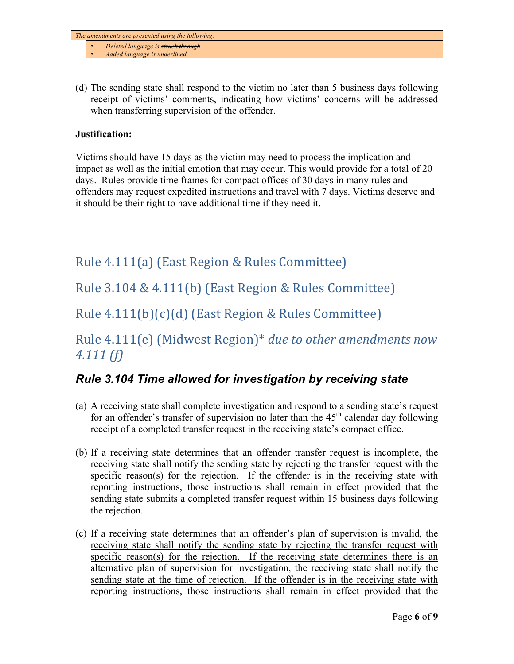- *Deleted language is struck through*
- *Added language is underlined*
- (d) The sending state shall respond to the victim no later than 5 business days following receipt of victims' comments, indicating how victims' concerns will be addressed when transferring supervision of the offender.

#### **Justification:**

Victims should have 15 days as the victim may need to process the implication and impact as well as the initial emotion that may occur. This would provide for a total of 20 days. Rules provide time frames for compact offices of 30 days in many rules and offenders may request expedited instructions and travel with 7 days. Victims deserve and it should be their right to have additional time if they need it.

Rule 4.111(a) (East Region & Rules Committee)

Rule  $3.104 \& 4.111(b)$  (East Region & Rules Committee)

Rule  $4.111(b)(c)(d)$  (East Region & Rules Committee)

## Rule 4.111(e) (Midwest Region)<sup>\*</sup> due to other amendments now *4.111 (f)*

## *Rule 3.104 Time allowed for investigation by receiving state*

- (a) A receiving state shall complete investigation and respond to a sending state's request for an offender's transfer of supervision no later than the  $45<sup>th</sup>$  calendar day following receipt of a completed transfer request in the receiving state's compact office.
- (b) If a receiving state determines that an offender transfer request is incomplete, the receiving state shall notify the sending state by rejecting the transfer request with the specific reason(s) for the rejection. If the offender is in the receiving state with reporting instructions, those instructions shall remain in effect provided that the sending state submits a completed transfer request within 15 business days following the rejection.
- (c) If a receiving state determines that an offender's plan of supervision is invalid, the receiving state shall notify the sending state by rejecting the transfer request with specific reason(s) for the rejection. If the receiving state determines there is an alternative plan of supervision for investigation, the receiving state shall notify the sending state at the time of rejection. If the offender is in the receiving state with reporting instructions, those instructions shall remain in effect provided that the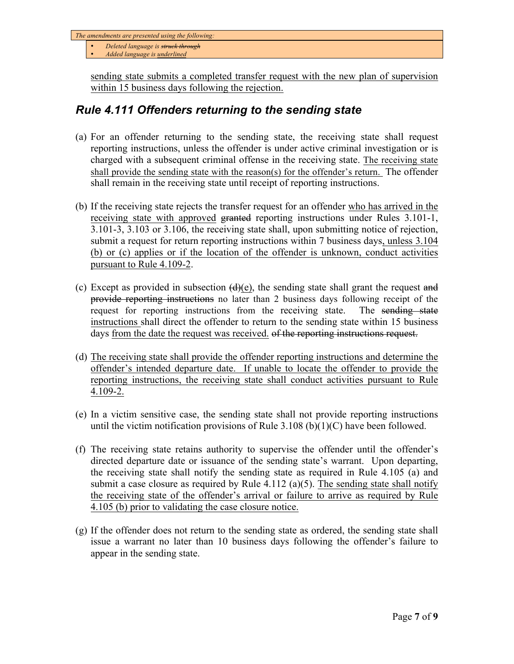• *Deleted language is struck through*

• *Added language is underlined*

sending state submits a completed transfer request with the new plan of supervision within 15 business days following the rejection.

## *Rule 4.111 Offenders returning to the sending state*

- (a) For an offender returning to the sending state, the receiving state shall request reporting instructions, unless the offender is under active criminal investigation or is charged with a subsequent criminal offense in the receiving state. The receiving state shall provide the sending state with the reason(s) for the offender's return. The offender shall remain in the receiving state until receipt of reporting instructions.
- (b) If the receiving state rejects the transfer request for an offender who has arrived in the receiving state with approved granted reporting instructions under Rules 3.101-1, 3.101-3, 3.103 or 3.106, the receiving state shall, upon submitting notice of rejection, submit a request for return reporting instructions within 7 business days, unless 3.104 (b) or (c) applies or if the location of the offender is unknown, conduct activities pursuant to Rule 4.109-2.
- (c) Except as provided in subsection  $(d)(e)$ , the sending state shall grant the request and provide reporting instructions no later than 2 business days following receipt of the request for reporting instructions from the receiving state. The sending state instructions shall direct the offender to return to the sending state within 15 business days from the date the request was received. of the reporting instructions request.
- (d) The receiving state shall provide the offender reporting instructions and determine the offender's intended departure date. If unable to locate the offender to provide the reporting instructions, the receiving state shall conduct activities pursuant to Rule 4.109-2.
- (e) In a victim sensitive case, the sending state shall not provide reporting instructions until the victim notification provisions of Rule  $3.108$  (b)(1)(C) have been followed.
- (f) The receiving state retains authority to supervise the offender until the offender's directed departure date or issuance of the sending state's warrant. Upon departing, the receiving state shall notify the sending state as required in Rule 4.105 (a) and submit a case closure as required by Rule  $4.112$  (a)(5). The sending state shall notify the receiving state of the offender's arrival or failure to arrive as required by Rule 4.105 (b) prior to validating the case closure notice.
- (g) If the offender does not return to the sending state as ordered, the sending state shall issue a warrant no later than 10 business days following the offender's failure to appear in the sending state.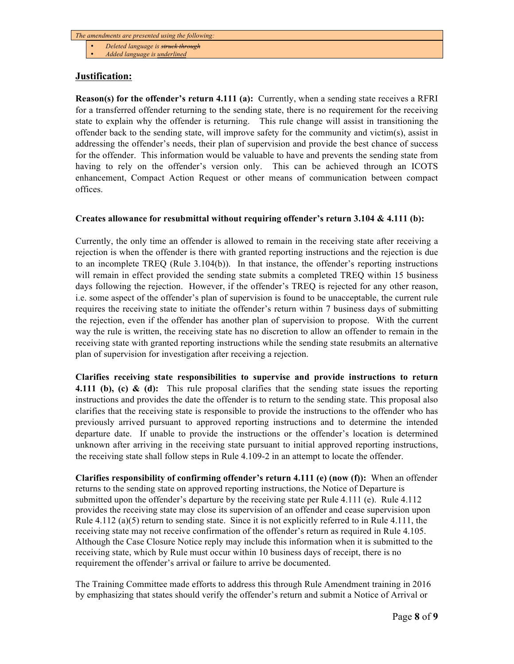- *Deleted language is struck through*
- *Added language is underlined*

#### **Justification:**

**Reason(s) for the offender's return 4.111 (a):** Currently, when a sending state receives a RFRI for a transferred offender returning to the sending state, there is no requirement for the receiving state to explain why the offender is returning. This rule change will assist in transitioning the offender back to the sending state, will improve safety for the community and victim(s), assist in addressing the offender's needs, their plan of supervision and provide the best chance of success for the offender. This information would be valuable to have and prevents the sending state from having to rely on the offender's version only. This can be achieved through an ICOTS enhancement, Compact Action Request or other means of communication between compact offices.

#### **Creates allowance for resubmittal without requiring offender's return 3.104 & 4.111 (b):**

Currently, the only time an offender is allowed to remain in the receiving state after receiving a rejection is when the offender is there with granted reporting instructions and the rejection is due to an incomplete TREQ (Rule 3.104(b)). In that instance, the offender's reporting instructions will remain in effect provided the sending state submits a completed TREQ within 15 business days following the rejection. However, if the offender's TREQ is rejected for any other reason, i.e. some aspect of the offender's plan of supervision is found to be unacceptable, the current rule requires the receiving state to initiate the offender's return within 7 business days of submitting the rejection, even if the offender has another plan of supervision to propose. With the current way the rule is written, the receiving state has no discretion to allow an offender to remain in the receiving state with granted reporting instructions while the sending state resubmits an alternative plan of supervision for investigation after receiving a rejection.

**Clarifies receiving state responsibilities to supervise and provide instructions to return 4.111 (b), (c) & (d):** This rule proposal clarifies that the sending state issues the reporting instructions and provides the date the offender is to return to the sending state. This proposal also clarifies that the receiving state is responsible to provide the instructions to the offender who has previously arrived pursuant to approved reporting instructions and to determine the intended departure date. If unable to provide the instructions or the offender's location is determined unknown after arriving in the receiving state pursuant to initial approved reporting instructions, the receiving state shall follow steps in Rule 4.109-2 in an attempt to locate the offender.

**Clarifies responsibility of confirming offender's return 4.111 (e) (now (f)):** When an offender returns to the sending state on approved reporting instructions, the Notice of Departure is submitted upon the offender's departure by the receiving state per Rule 4.111 (e). Rule 4.112 provides the receiving state may close its supervision of an offender and cease supervision upon Rule 4.112 (a)(5) return to sending state. Since it is not explicitly referred to in Rule 4.111, the receiving state may not receive confirmation of the offender's return as required in Rule 4.105. Although the Case Closure Notice reply may include this information when it is submitted to the receiving state, which by Rule must occur within 10 business days of receipt, there is no requirement the offender's arrival or failure to arrive be documented.

The Training Committee made efforts to address this through Rule Amendment training in 2016 by emphasizing that states should verify the offender's return and submit a Notice of Arrival or